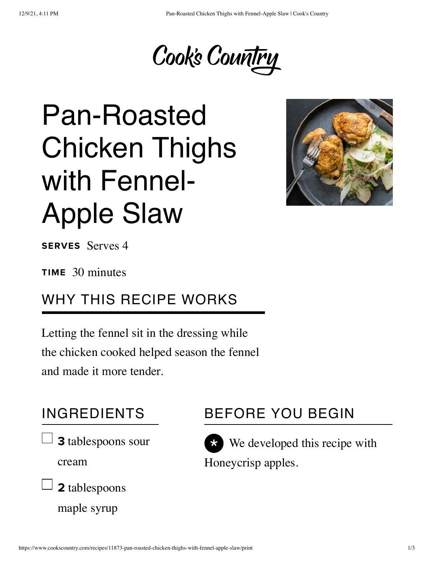

# Pan-Roasted Chicken Thighs with Fennel-Apple Slaw



SERVES Serves 4

TIME 30 minutes

#### WHY THIS RECIPE WORKS

Letting the fennel sit in the dressing while the chicken cooked helped season the fennel and made it more tender.

#### INGREDIENTS

3 tablespoons sour

cream



maple syrup

### BEFORE YOU BEGIN



 $\star$  We developed this recipe with Honeycrisp apples.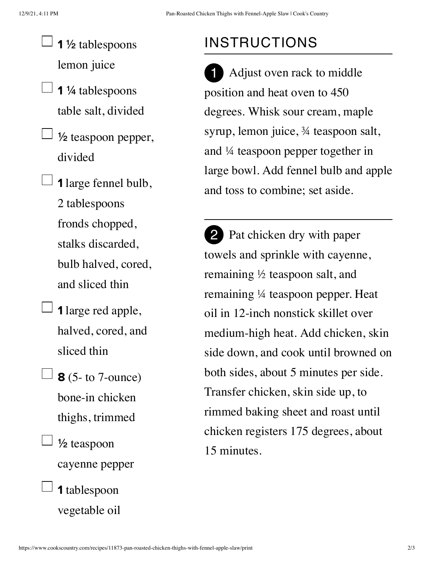- $\frac{1}{2}$  1 ½ tablespoons lemon juice
- $\Box$  1 ¼ tablespoons table salt, divided
	- $\perp$  1/2 teaspoon pepper, divided
- $\Box$  1 large fennel bulb, 2 tablespoons fronds chopped, stalks discarded, bulb halved, cored, and sliced thin
	- $\Box$  1 large red apple, halved, cored, and sliced thin
- $\Box$  8 (5- to 7-ounce) bone-in chicken thighs, trimmed
	- $\perp$  1/2 teaspoon cayenne pepper
		- 1 tablespoon vegetable oil

## INSTRUCTIONS

Adjust oven rack to middle position and heat oven to 450 degrees. Whisk sour cream, maple syrup, lemon juice, ¾ teaspoon salt, and ¼ teaspoon pepper together in large bowl. Add fennel bulb and apple and toss to combine; set aside. 1

2 Pat chicken dry with paper towels and sprinkle with cayenne, remaining ½ teaspoon salt, and remaining ¼ teaspoon pepper. Heat oil in 12-inch nonstick skillet over medium-high heat. Add chicken, skin side down, and cook until browned on both sides, about 5 minutes per side. Transfer chicken, skin side up, to rimmed baking sheet and roast until chicken registers 175 degrees, about 15 minutes.